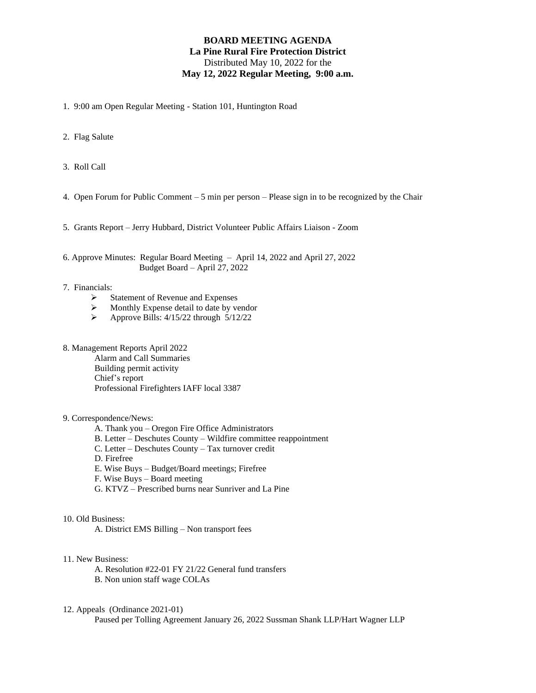## **BOARD MEETING AGENDA La Pine Rural Fire Protection District** Distributed May 10, 2022 for the **May 12, 2022 Regular Meeting, 9:00 a.m.**

- 1. 9:00 am Open Regular Meeting Station 101, Huntington Road
- 2. Flag Salute
- 3. Roll Call
- 4. Open Forum for Public Comment 5 min per person Please sign in to be recognized by the Chair
- 5. Grants Report Jerry Hubbard, District Volunteer Public Affairs Liaison Zoom
- 6. Approve Minutes: Regular Board Meeting April 14, 2022 and April 27, 2022 Budget Board – April 27, 2022
- 7. Financials:
	- ➢ Statement of Revenue and Expenses
	- ➢ Monthly Expense detail to date by vendor
	- ➢ Approve Bills: 4/15/22 through 5/12/22
- 8. Management Reports April 2022

Alarm and Call Summaries Building permit activity Chief's report Professional Firefighters IAFF local 3387

- 9. Correspondence/News:
	- A. Thank you Oregon Fire Office Administrators
	- B. Letter Deschutes County Wildfire committee reappointment
	- C. Letter Deschutes County Tax turnover credit
	- D. Firefree
	- E. Wise Buys Budget/Board meetings; Firefree
	- F. Wise Buys Board meeting
	- G. KTVZ Prescribed burns near Sunriver and La Pine
- 10. Old Business:

A. District EMS Billing – Non transport fees

- 11. New Business:
	- A. Resolution #22-01 FY 21/22 General fund transfers B. Non union staff wage COLAs
- 12. Appeals (Ordinance 2021-01)

Paused per Tolling Agreement January 26, 2022 Sussman Shank LLP/Hart Wagner LLP